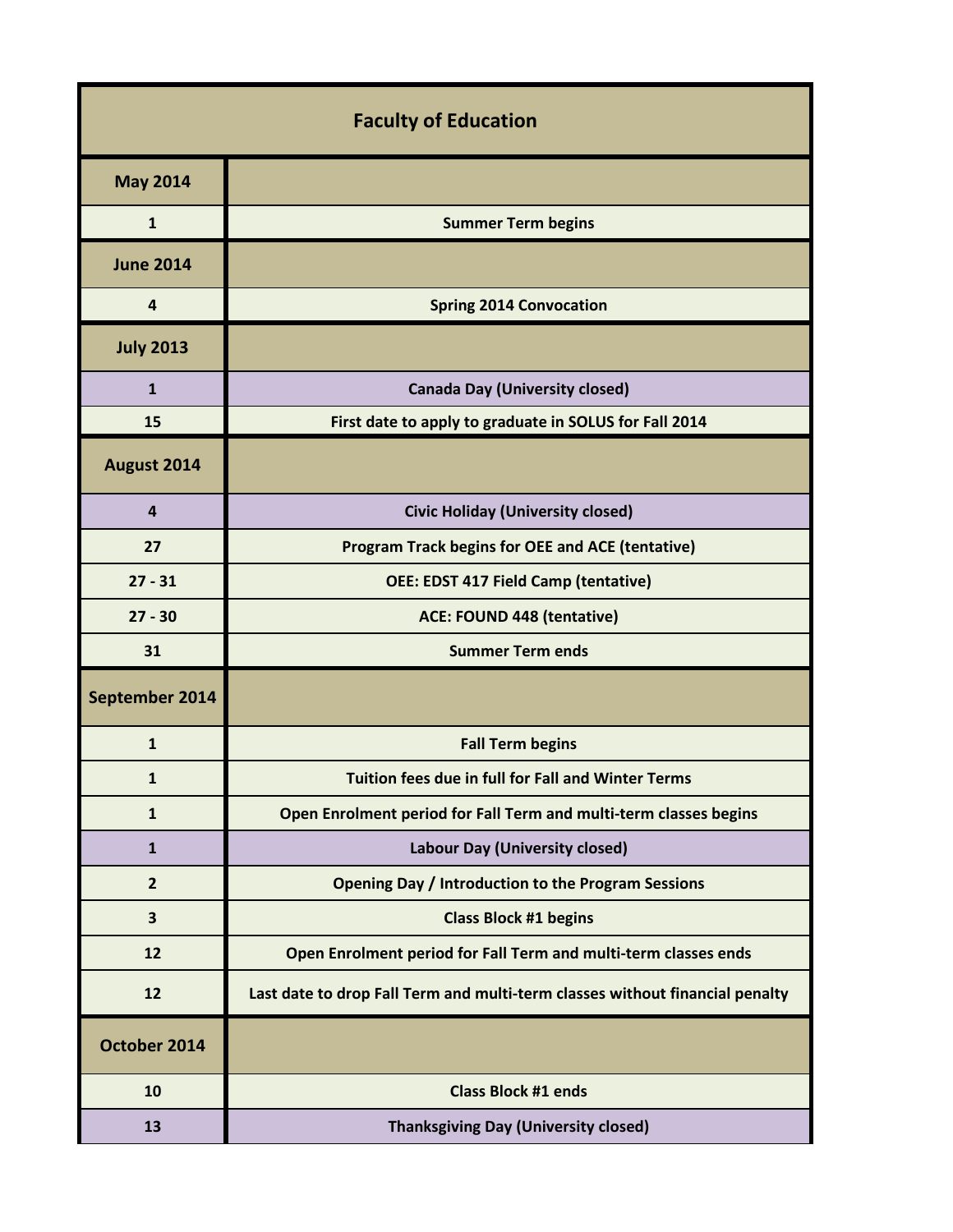| <b>Faculty of Education</b> |                                                                              |  |
|-----------------------------|------------------------------------------------------------------------------|--|
| <b>May 2014</b>             |                                                                              |  |
| $\mathbf{1}$                | <b>Summer Term begins</b>                                                    |  |
| <b>June 2014</b>            |                                                                              |  |
| $\overline{4}$              | <b>Spring 2014 Convocation</b>                                               |  |
| <b>July 2013</b>            |                                                                              |  |
| $\mathbf{1}$                | <b>Canada Day (University closed)</b>                                        |  |
| 15                          | First date to apply to graduate in SOLUS for Fall 2014                       |  |
| August 2014                 |                                                                              |  |
| $\overline{a}$              | <b>Civic Holiday (University closed)</b>                                     |  |
| 27                          | <b>Program Track begins for OEE and ACE (tentative)</b>                      |  |
| $27 - 31$                   | <b>OEE: EDST 417 Field Camp (tentative)</b>                                  |  |
| $27 - 30$                   | ACE: FOUND 448 (tentative)                                                   |  |
| 31                          | <b>Summer Term ends</b>                                                      |  |
| September 2014              |                                                                              |  |
| $\mathbf{1}$                | <b>Fall Term begins</b>                                                      |  |
| $\mathbf{1}$                | <b>Tuition fees due in full for Fall and Winter Terms</b>                    |  |
| $\mathbf{1}$                | Open Enrolment period for Fall Term and multi-term classes begins            |  |
| $\mathbf{1}$                | Labour Day (University closed)                                               |  |
| $\overline{2}$              | <b>Opening Day / Introduction to the Program Sessions</b>                    |  |
| $\overline{\mathbf{3}}$     | <b>Class Block #1 begins</b>                                                 |  |
| 12                          | Open Enrolment period for Fall Term and multi-term classes ends              |  |
| 12                          | Last date to drop Fall Term and multi-term classes without financial penalty |  |
| October 2014                |                                                                              |  |
| 10                          | <b>Class Block #1 ends</b>                                                   |  |
| 13                          | <b>Thanksgiving Day (University closed)</b>                                  |  |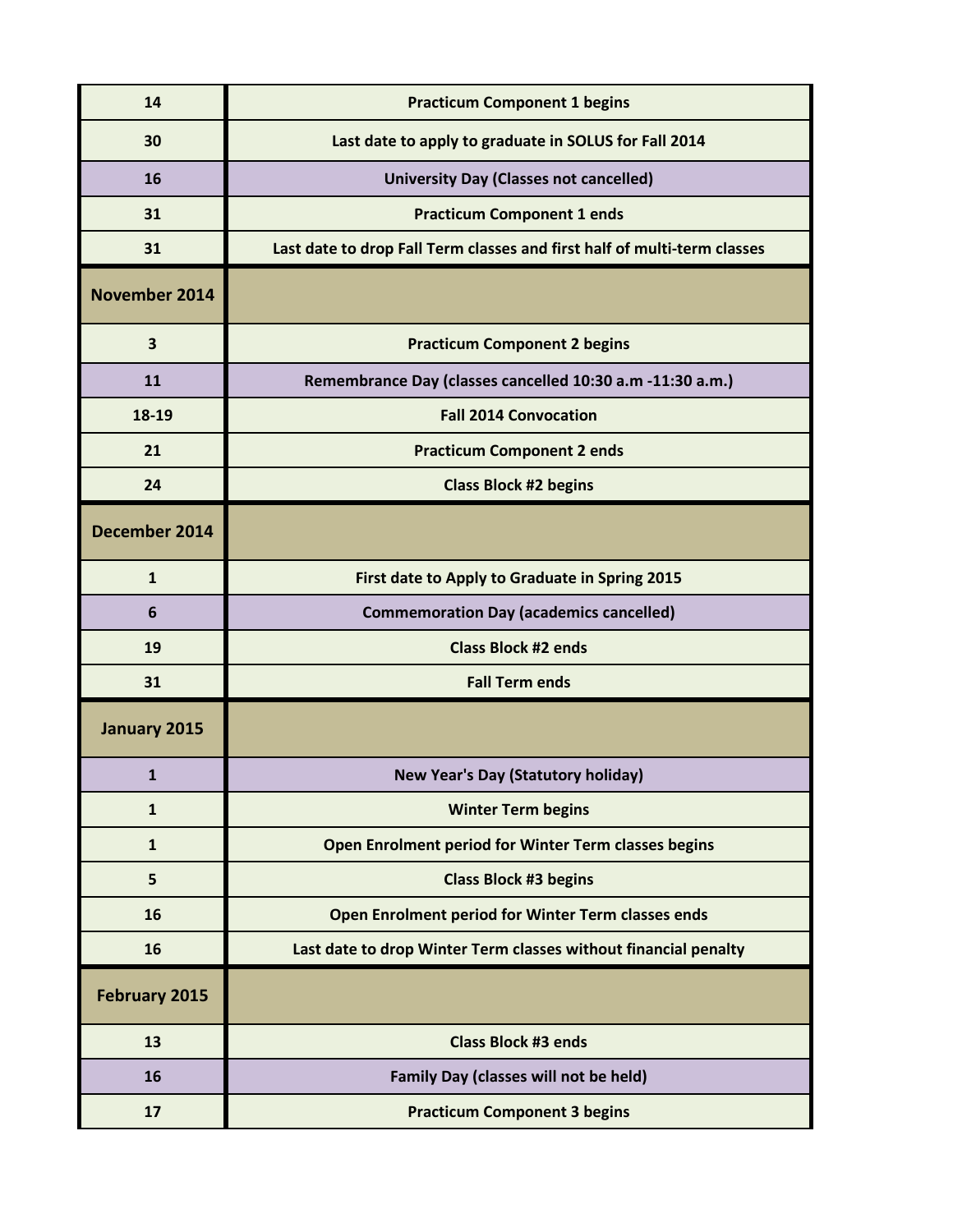| 14                      | <b>Practicum Component 1 begins</b>                                      |
|-------------------------|--------------------------------------------------------------------------|
| 30                      | Last date to apply to graduate in SOLUS for Fall 2014                    |
| 16                      | <b>University Day (Classes not cancelled)</b>                            |
| 31                      | <b>Practicum Component 1 ends</b>                                        |
| 31                      | Last date to drop Fall Term classes and first half of multi-term classes |
| <b>November 2014</b>    |                                                                          |
| $\overline{\mathbf{3}}$ | <b>Practicum Component 2 begins</b>                                      |
| 11                      | Remembrance Day (classes cancelled 10:30 a.m -11:30 a.m.)                |
| 18-19                   | <b>Fall 2014 Convocation</b>                                             |
| 21                      | <b>Practicum Component 2 ends</b>                                        |
| 24                      | <b>Class Block #2 begins</b>                                             |
| December 2014           |                                                                          |
| $\mathbf{1}$            | First date to Apply to Graduate in Spring 2015                           |
| 6                       | <b>Commemoration Day (academics cancelled)</b>                           |
| 19                      | <b>Class Block #2 ends</b>                                               |
| 31                      | <b>Fall Term ends</b>                                                    |
| January 2015            |                                                                          |
| 1                       | <b>New Year's Day (Statutory holiday)</b>                                |
| $\mathbf{1}$            | <b>Winter Term begins</b>                                                |
| $\mathbf{1}$            | Open Enrolment period for Winter Term classes begins                     |
| 5                       | <b>Class Block #3 begins</b>                                             |
| 16                      | Open Enrolment period for Winter Term classes ends                       |
| 16                      | Last date to drop Winter Term classes without financial penalty          |
| <b>February 2015</b>    |                                                                          |
| 13                      | <b>Class Block #3 ends</b>                                               |
| 16                      | Family Day (classes will not be held)                                    |
| 17                      | <b>Practicum Component 3 begins</b>                                      |